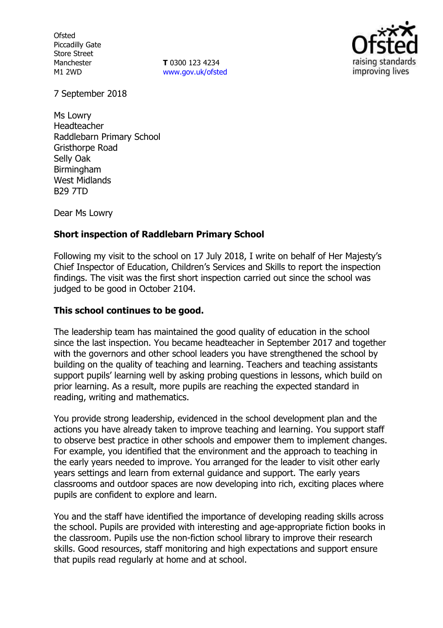**Ofsted** Piccadilly Gate Store Street Manchester M1 2WD

**T** 0300 123 4234 www.gov.uk/ofsted



7 September 2018

Ms Lowry Headteacher Raddlebarn Primary School Gristhorpe Road Selly Oak **Birmingham** West Midlands B29 7TD

Dear Ms Lowry

## **Short inspection of Raddlebarn Primary School**

Following my visit to the school on 17 July 2018, I write on behalf of Her Majesty's Chief Inspector of Education, Children's Services and Skills to report the inspection findings. The visit was the first short inspection carried out since the school was judged to be good in October 2104.

## **This school continues to be good.**

The leadership team has maintained the good quality of education in the school since the last inspection. You became headteacher in September 2017 and together with the governors and other school leaders you have strengthened the school by building on the quality of teaching and learning. Teachers and teaching assistants support pupils' learning well by asking probing questions in lessons, which build on prior learning. As a result, more pupils are reaching the expected standard in reading, writing and mathematics.

You provide strong leadership, evidenced in the school development plan and the actions you have already taken to improve teaching and learning. You support staff to observe best practice in other schools and empower them to implement changes. For example, you identified that the environment and the approach to teaching in the early years needed to improve. You arranged for the leader to visit other early years settings and learn from external guidance and support. The early years classrooms and outdoor spaces are now developing into rich, exciting places where pupils are confident to explore and learn.

You and the staff have identified the importance of developing reading skills across the school. Pupils are provided with interesting and age-appropriate fiction books in the classroom. Pupils use the non-fiction school library to improve their research skills. Good resources, staff monitoring and high expectations and support ensure that pupils read regularly at home and at school.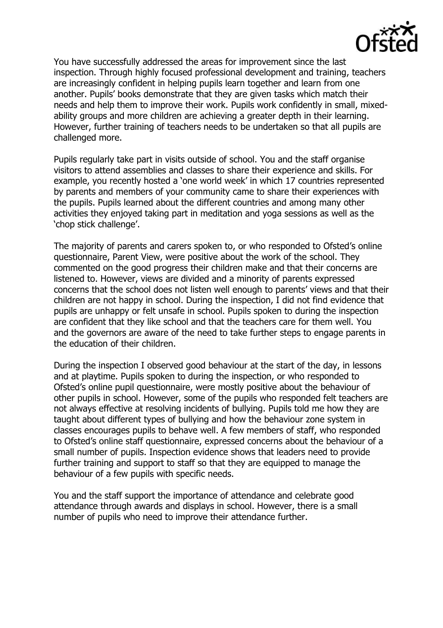

You have successfully addressed the areas for improvement since the last inspection. Through highly focused professional development and training, teachers are increasingly confident in helping pupils learn together and learn from one another. Pupils' books demonstrate that they are given tasks which match their needs and help them to improve their work. Pupils work confidently in small, mixedability groups and more children are achieving a greater depth in their learning. However, further training of teachers needs to be undertaken so that all pupils are challenged more.

Pupils regularly take part in visits outside of school. You and the staff organise visitors to attend assemblies and classes to share their experience and skills. For example, you recently hosted a 'one world week' in which 17 countries represented by parents and members of your community came to share their experiences with the pupils. Pupils learned about the different countries and among many other activities they enjoyed taking part in meditation and yoga sessions as well as the 'chop stick challenge'.

The majority of parents and carers spoken to, or who responded to Ofsted's online questionnaire, Parent View, were positive about the work of the school. They commented on the good progress their children make and that their concerns are listened to. However, views are divided and a minority of parents expressed concerns that the school does not listen well enough to parents' views and that their children are not happy in school. During the inspection, I did not find evidence that pupils are unhappy or felt unsafe in school. Pupils spoken to during the inspection are confident that they like school and that the teachers care for them well. You and the governors are aware of the need to take further steps to engage parents in the education of their children.

During the inspection I observed good behaviour at the start of the day, in lessons and at playtime. Pupils spoken to during the inspection, or who responded to Ofsted's online pupil questionnaire, were mostly positive about the behaviour of other pupils in school. However, some of the pupils who responded felt teachers are not always effective at resolving incidents of bullying. Pupils told me how they are taught about different types of bullying and how the behaviour zone system in classes encourages pupils to behave well. A few members of staff, who responded to Ofsted's online staff questionnaire, expressed concerns about the behaviour of a small number of pupils. Inspection evidence shows that leaders need to provide further training and support to staff so that they are equipped to manage the behaviour of a few pupils with specific needs.

You and the staff support the importance of attendance and celebrate good attendance through awards and displays in school. However, there is a small number of pupils who need to improve their attendance further.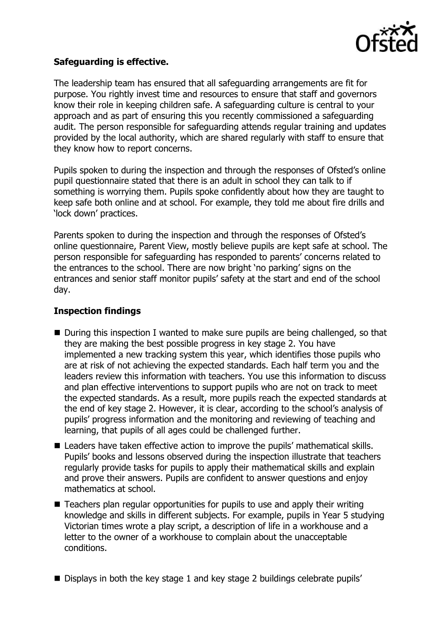

## **Safeguarding is effective.**

The leadership team has ensured that all safeguarding arrangements are fit for purpose. You rightly invest time and resources to ensure that staff and governors know their role in keeping children safe. A safeguarding culture is central to your approach and as part of ensuring this you recently commissioned a safeguarding audit. The person responsible for safeguarding attends regular training and updates provided by the local authority, which are shared regularly with staff to ensure that they know how to report concerns.

Pupils spoken to during the inspection and through the responses of Ofsted's online pupil questionnaire stated that there is an adult in school they can talk to if something is worrying them. Pupils spoke confidently about how they are taught to keep safe both online and at school. For example, they told me about fire drills and 'lock down' practices.

Parents spoken to during the inspection and through the responses of Ofsted's online questionnaire, Parent View, mostly believe pupils are kept safe at school. The person responsible for safeguarding has responded to parents' concerns related to the entrances to the school. There are now bright 'no parking' signs on the entrances and senior staff monitor pupils' safety at the start and end of the school day.

## **Inspection findings**

- During this inspection I wanted to make sure pupils are being challenged, so that they are making the best possible progress in key stage 2. You have implemented a new tracking system this year, which identifies those pupils who are at risk of not achieving the expected standards. Each half term you and the leaders review this information with teachers. You use this information to discuss and plan effective interventions to support pupils who are not on track to meet the expected standards. As a result, more pupils reach the expected standards at the end of key stage 2. However, it is clear, according to the school's analysis of pupils' progress information and the monitoring and reviewing of teaching and learning, that pupils of all ages could be challenged further.
- Leaders have taken effective action to improve the pupils' mathematical skills. Pupils' books and lessons observed during the inspection illustrate that teachers regularly provide tasks for pupils to apply their mathematical skills and explain and prove their answers. Pupils are confident to answer questions and enjoy mathematics at school.
- Teachers plan regular opportunities for pupils to use and apply their writing knowledge and skills in different subjects. For example, pupils in Year 5 studying Victorian times wrote a play script, a description of life in a workhouse and a letter to the owner of a workhouse to complain about the unacceptable conditions.
- Displays in both the key stage 1 and key stage 2 buildings celebrate pupils'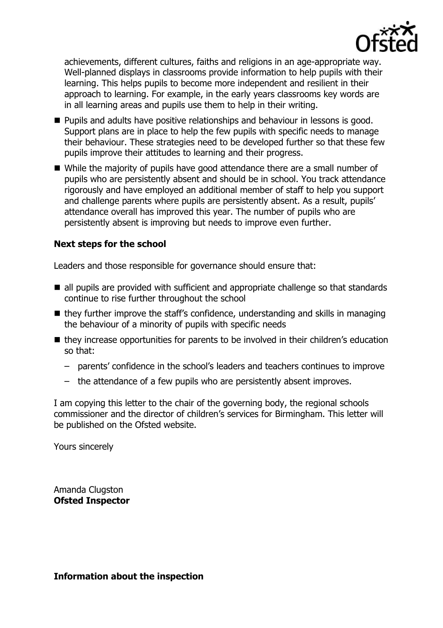

achievements, different cultures, faiths and religions in an age-appropriate way. Well-planned displays in classrooms provide information to help pupils with their learning. This helps pupils to become more independent and resilient in their approach to learning. For example, in the early years classrooms key words are in all learning areas and pupils use them to help in their writing.

- **Pupils and adults have positive relationships and behaviour in lessons is good.** Support plans are in place to help the few pupils with specific needs to manage their behaviour. These strategies need to be developed further so that these few pupils improve their attitudes to learning and their progress.
- While the majority of pupils have good attendance there are a small number of pupils who are persistently absent and should be in school. You track attendance rigorously and have employed an additional member of staff to help you support and challenge parents where pupils are persistently absent. As a result, pupils' attendance overall has improved this year. The number of pupils who are persistently absent is improving but needs to improve even further.

# **Next steps for the school**

Leaders and those responsible for governance should ensure that:

- all pupils are provided with sufficient and appropriate challenge so that standards continue to rise further throughout the school
- $\blacksquare$  they further improve the staff's confidence, understanding and skills in managing the behaviour of a minority of pupils with specific needs
- they increase opportunities for parents to be involved in their children's education so that:
	- parents' confidence in the school's leaders and teachers continues to improve
	- the attendance of a few pupils who are persistently absent improves.

I am copying this letter to the chair of the governing body, the regional schools commissioner and the director of children's services for Birmingham. This letter will be published on the Ofsted website.

Yours sincerely

Amanda Clugston **Ofsted Inspector**